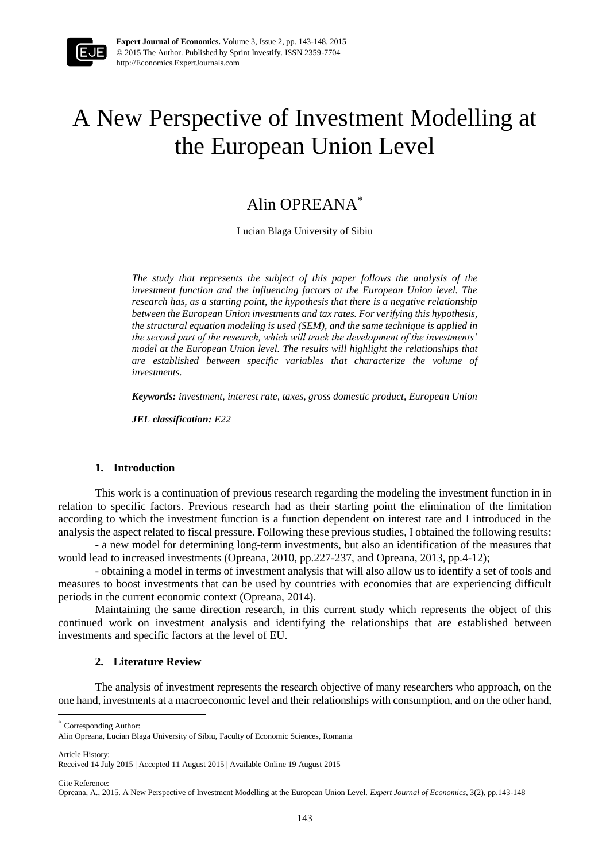

**Expert Journal of Economics.** Volume 3, Issue 2, pp. 143-148, 2015 © 2015 The Author. Published by Sprint Investify. ISSN 2359-7704 http://Economics.ExpertJournals.com

# A New Perspective of Investment Modelling at the European Union Level

# Alin OPREANA\*

Lucian Blaga University of Sibiu

*The study that represents the subject of this paper follows the analysis of the*  investment function and the influencing factors at the European Union level. The *research has, as a starting point, the hypothesis that there is a negative relationship between the European Union investments and tax rates. For verifying this hypothesis, the structural equation modeling is used (SEM), and the same technique is applied in the second part of the research, which will track the development of the investments' model at the European Union level. The results will highlight the relationships that are established between specific variables that characterize the volume of investments.*

*Keywords: investment, interest rate, taxes, gross domestic product, European Union*

*JEL classification: E22*

#### **1. Introduction**

This work is a continuation of previous research regarding the modeling the investment function in in relation to specific factors. Previous research had as their starting point the elimination of the limitation according to which the investment function is a function dependent on interest rate and I introduced in the analysis the aspect related to fiscal pressure. Following these previous studies, I obtained the following results:

- a new model for determining long-term investments, but also an identification of the measures that would lead to increased investments (Opreana, 2010, pp.227-237, and Opreana, 2013, pp.4-12);

- obtaining a model in terms of investment analysis that will also allow us to identify a set of tools and measures to boost investments that can be used by countries with economies that are experiencing difficult periods in the current economic context (Opreana, 2014).

Maintaining the same direction research, in this current study which represents the object of this continued work on investment analysis and identifying the relationships that are established between investments and specific factors at the level of EU.

# **2. Literature Review**

The analysis of investment represents the research objective of many researchers who approach, on the one hand, investments at a macroeconomic level and their relationships with consumption, and on the other hand,

\* Corresponding Author:

Article History:

 $\overline{a}$ 

Cite Reference:

Alin Opreana, Lucian Blaga University of Sibiu, Faculty of Economic Sciences, Romania

Received 14 July 2015 | Accepted 11 August 2015 | Available Online 19 August 2015

Opreana, A., 2015. A New Perspective of Investment Modelling at the European Union Level. *Expert Journal of Economics*, 3(2), pp.143-148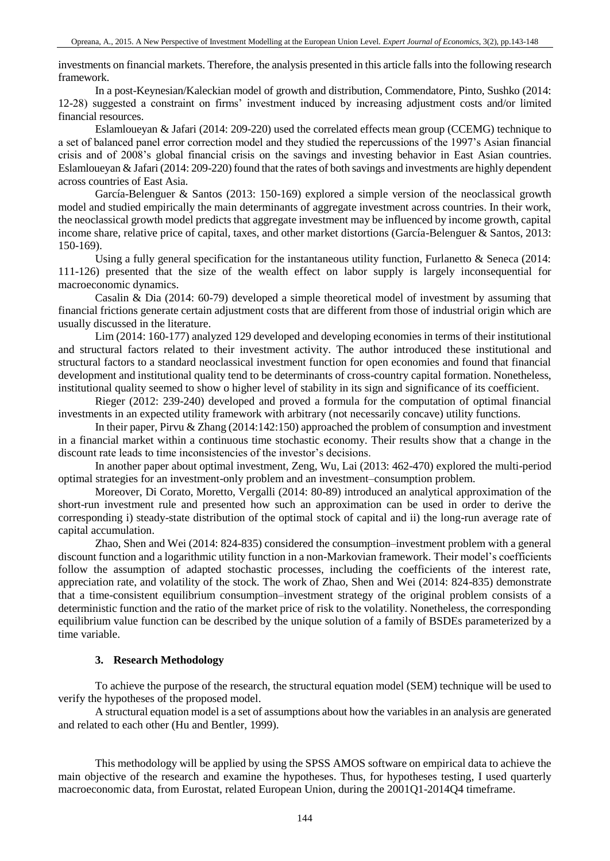investments on financial markets. Therefore, the analysis presented in this article falls into the following research framework.

In a post-Keynesian/Kaleckian model of growth and distribution, Commendatore, Pinto, Sushko (2014: 12-28) suggested a constraint on firms' investment induced by increasing adjustment costs and/or limited financial resources.

Eslamloueyan & Jafari (2014: 209-220) used the correlated effects mean group (CCEMG) technique to a set of balanced panel error correction model and they studied the repercussions of the 1997's Asian financial crisis and of 2008's global financial crisis on the savings and investing behavior in East Asian countries. Eslamloueyan & Jafari (2014: 209-220) found that the rates of both savings and investments are highly dependent across countries of East Asia.

García-Belenguer & Santos (2013: 150-169) explored a simple version of the neoclassical growth model and studied empirically the main determinants of aggregate investment across countries. In their work, the neoclassical growth model predicts that aggregate investment may be influenced by income growth, capital income share, relative price of capital, taxes, and other market distortions (García-Belenguer & Santos, 2013: 150-169).

Using a fully general specification for the instantaneous utility function, Furlanetto & Seneca (2014: 111-126) presented that the size of the wealth effect on labor supply is largely inconsequential for macroeconomic dynamics.

Casalin & Dia (2014: 60-79) developed a simple theoretical model of investment by assuming that financial frictions generate certain adjustment costs that are different from those of industrial origin which are usually discussed in the literature.

Lim (2014: 160-177) analyzed 129 developed and developing economies in terms of their institutional and structural factors related to their investment activity. The author introduced these institutional and structural factors to a standard neoclassical investment function for open economies and found that financial development and institutional quality tend to be determinants of cross-country capital formation. Nonetheless, institutional quality seemed to show o higher level of stability in its sign and significance of its coefficient.

Rieger (2012: 239-240) developed and proved a formula for the computation of optimal financial investments in an expected utility framework with arbitrary (not necessarily concave) utility functions.

In their paper, Pirvu & Zhang (2014:142:150) approached the problem of consumption and investment in a financial market within a continuous time stochastic economy. Their results show that a change in the discount rate leads to time inconsistencies of the investor's decisions.

In another paper about optimal investment, Zeng, Wu, Lai (2013: 462-470) explored the multi-period optimal strategies for an investment-only problem and an investment–consumption problem.

Moreover, Di Corato, Moretto, Vergalli (2014: 80-89) introduced an analytical approximation of the short-run investment rule and presented how such an approximation can be used in order to derive the corresponding i) steady-state distribution of the optimal stock of capital and ii) the long-run average rate of capital accumulation.

Zhao, Shen and Wei (2014: 824-835) considered the consumption–investment problem with a general discount function and a logarithmic utility function in a non-Markovian framework. Their model's coefficients follow the assumption of adapted stochastic processes, including the coefficients of the interest rate, appreciation rate, and volatility of the stock. The work of Zhao, Shen and Wei (2014: 824-835) demonstrate that a time-consistent equilibrium consumption–investment strategy of the original problem consists of a deterministic function and the ratio of the market price of risk to the volatility. Nonetheless, the corresponding equilibrium value function can be described by the unique solution of a family of BSDEs parameterized by a time variable.

# **3. Research Methodology**

To achieve the purpose of the research, the structural equation model (SEM) technique will be used to verify the hypotheses of the proposed model.

A structural equation model is a set of assumptions about how the variables in an analysis are generated and related to each other (Hu and Bentler, 1999).

This methodology will be applied by using the SPSS AMOS software on empirical data to achieve the main objective of the research and examine the hypotheses. Thus, for hypotheses testing, I used quarterly macroeconomic data, from Eurostat, related European Union, during the 2001Q1-2014Q4 timeframe.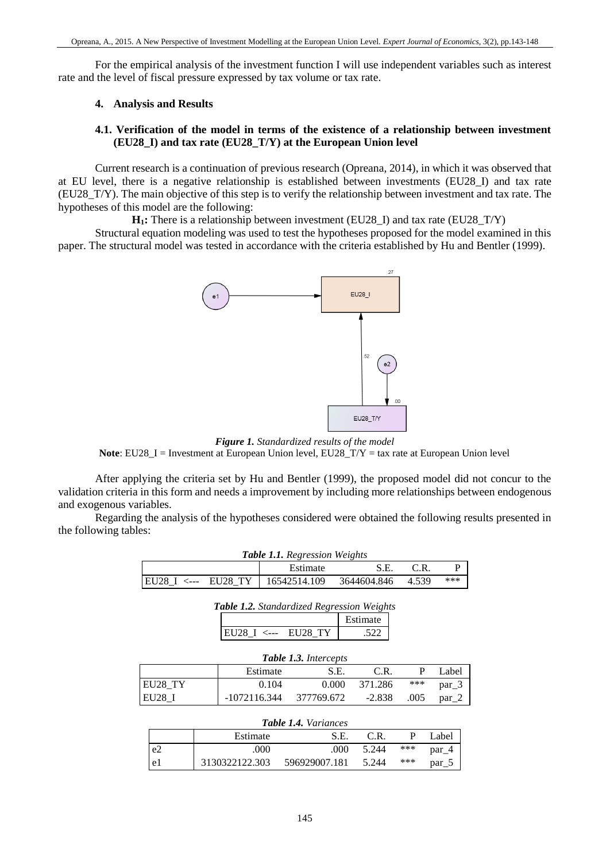For the empirical analysis of the investment function I will use independent variables such as interest rate and the level of fiscal pressure expressed by tax volume or tax rate.

#### **4. Analysis and Results**

# **4.1. Verification of the model in terms of the existence of a relationship between investment (EU28\_I) and tax rate (EU28\_T/Y) at the European Union level**

Current research is a continuation of previous research (Opreana, 2014), in which it was observed that at EU level, there is a negative relationship is established between investments (EU28\_I) and tax rate (EU28\_T/Y). The main objective of this step is to verify the relationship between investment and tax rate. The hypotheses of this model are the following:

**H<sub>1</sub>**: There is a relationship between investment (EU28 I) and tax rate (EU28 T/Y)

Structural equation modeling was used to test the hypotheses proposed for the model examined in this paper. The structural model was tested in accordance with the criteria established by Hu and Bentler (1999).



*Figure 1. Standardized results of the model* **Note**: EU28 I = Investment at European Union level, EU28  $T/Y$  = tax rate at European Union level

After applying the criteria set by Hu and Bentler (1999), the proposed model did not concur to the validation criteria in this form and needs a improvement by including more relationships between endogenous and exogenous variables.

Regarding the analysis of the hypotheses considered were obtained the following results presented in the following tables:

| <b>Table 1.1.</b> Regression Weights |  |                                    |             |       |     |  |
|--------------------------------------|--|------------------------------------|-------------|-------|-----|--|
| Estimate<br>S.E.<br>C.R.             |  |                                    |             |       |     |  |
|                                      |  | EU28 I <--- EU28 TY   16542514.109 | 3644604.846 | 4.539 | *** |  |

| <b>Table 1.2.</b> Standardized Regression Weights |          |  |
|---------------------------------------------------|----------|--|
|                                                   | Estimate |  |
| EU28 I <--- EU28 TY                               | .522     |  |

| <b>Table 1.3.</b> Intercepts      |              |            |          |      |       |  |  |
|-----------------------------------|--------------|------------|----------|------|-------|--|--|
| Estimate<br>Label<br>C.R.<br>S.E. |              |            |          |      |       |  |  |
| EU28 TY                           | 0.104        | 0.000      | 371.286  | ***  | par 3 |  |  |
| EU28                              | -1072116.344 | 377769.672 | $-2.838$ | .005 | par 2 |  |  |

|                | <b>Table 1.4.</b> Variances |               |       |     |       |  |  |
|----------------|-----------------------------|---------------|-------|-----|-------|--|--|
|                | Estimate                    | S.E.          | C.R   |     | Label |  |  |
| e <sub>2</sub> | .000                        | .000          | 5.244 | *** | par 4 |  |  |
| e1             | 3130322122.303              | 596929007.181 | 5.244 | *** | par 5 |  |  |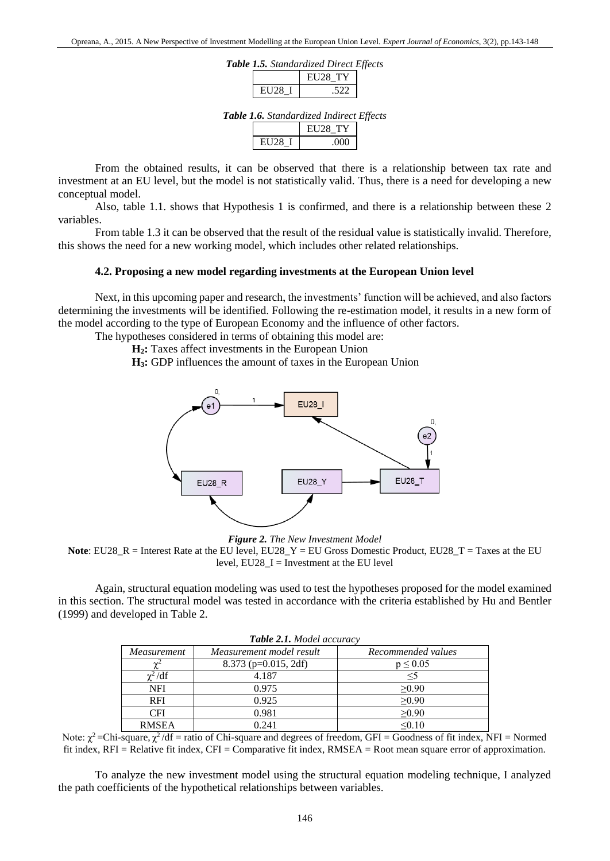|  | Table 1.5. Standardized Direct Effects |  |
|--|----------------------------------------|--|
|--|----------------------------------------|--|

|       | <b>FII28 TV</b> |
|-------|-----------------|
| ELI28 | າາ              |

*Table 1.6. Standardized Indirect Effects*

|          | <b>EU28 TY</b> |
|----------|----------------|
| 31 I 28. | YY Y           |

From the obtained results, it can be observed that there is a relationship between tax rate and investment at an EU level, but the model is not statistically valid. Thus, there is a need for developing a new conceptual model.

Also, table 1.1. shows that Hypothesis 1 is confirmed, and there is a relationship between these 2 variables.

From table 1.3 it can be observed that the result of the residual value is statistically invalid. Therefore, this shows the need for a new working model, which includes other related relationships.

#### **4.2. Proposing a new model regarding investments at the European Union level**

Next, in this upcoming paper and research, the investments' function will be achieved, and also factors determining the investments will be identified. Following the re-estimation model, it results in a new form of the model according to the type of European Economy and the influence of other factors.

The hypotheses considered in terms of obtaining this model are:

**H2:** Taxes affect investments in the European Union

**H3:** GDP influences the amount of taxes in the European Union



*Figure 2. The New Investment Model*

Again, structural equation modeling was used to test the hypotheses proposed for the model examined in this section. The structural model was tested in accordance with the criteria established by Hu and Bentler (1999) and developed in Table 2.

| <b>Table 2.1.</b> Model accuracy |                          |                    |  |  |  |  |
|----------------------------------|--------------------------|--------------------|--|--|--|--|
| Measurement                      | Measurement model result | Recommended values |  |  |  |  |
|                                  | 8.373 (p=0.015, 2df)     | $p \leq 0.05$      |  |  |  |  |
| $\chi^2/df$                      | 4.187                    | $\leq$ 5           |  |  |  |  |
| <b>NFI</b>                       | 0.975                    | >0.90              |  |  |  |  |
| <b>RFI</b>                       | 0.925                    | >0.90              |  |  |  |  |
| <b>CFI</b>                       | 0.981                    | $\geq 0.90$        |  |  |  |  |
| <b>RMSEA</b>                     | 0.241                    | < 0.10             |  |  |  |  |

Note:  $\chi^2$  = Chi-square,  $\chi^2/df$  = ratio of Chi-square and degrees of freedom, GFI = Goodness of fit index, NFI = Normed fit index, RFI = Relative fit index, CFI = Comparative fit index, RMSEA = Root mean square error of approximation.

To analyze the new investment model using the structural equation modeling technique, I analyzed the path coefficients of the hypothetical relationships between variables.

**Note**: EU28\_R = Interest Rate at the EU level, EU28\_Y = EU Gross Domestic Product, EU28\_T = Taxes at the EU level,  $EU28_I = Investment$  at the EU level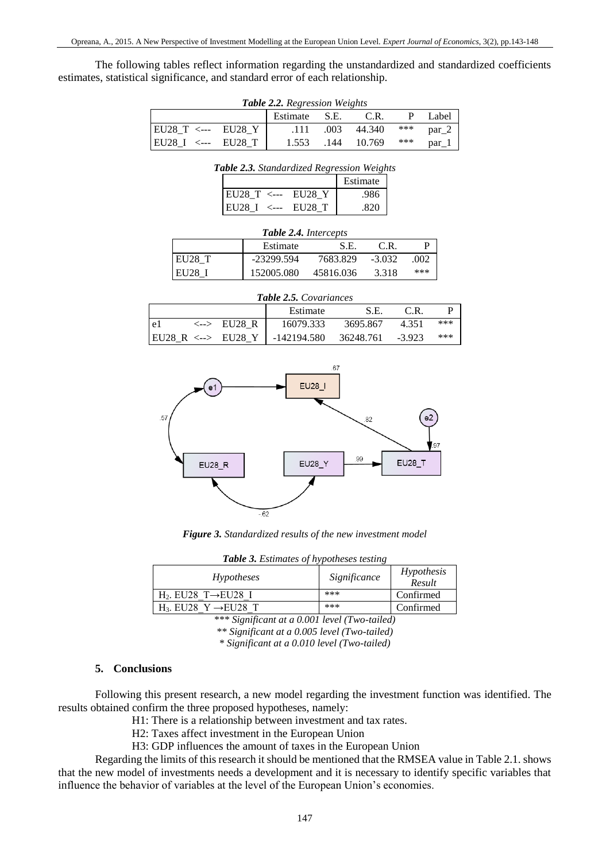The following tables reflect information regarding the unstandardized and standardized coefficients estimates, statistical significance, and standard error of each relationship.

| <b>Table 2.2.</b> Regression Weights |  |       |      |        |     |       |
|--------------------------------------|--|-------|------|--------|-----|-------|
| Estimate S.E.<br>C.R.<br>Label       |  |       |      |        |     |       |
| $ EU28_T \leftarrow EU28_Y $         |  | .111  | .003 | 44.340 | *** | par 2 |
| $ EU28 I \leftarrow$ EU28 T          |  | 1.553 | .144 | 10.769 | *** | par 1 |

| Table 2.3. Standardized Regression Weights |        |          |
|--------------------------------------------|--------|----------|
|                                            |        | Estimate |
| EU28_T <--- EU28_Y                         |        | .986     |
| EU28 <sub>1</sub> <---                     | EU28 T |          |

| <b>Table 2.4.</b> Intercepts |            |           |          |      |  |  |
|------------------------------|------------|-----------|----------|------|--|--|
| Estimate<br>S.E.<br>C.R.     |            |           |          |      |  |  |
| EU28 T                       | -23299.594 | 7683.829  | $-3.032$ | .002 |  |  |
| EU28                         | 152005.080 | 45816.036 | 3.318    | ***  |  |  |

| <b>Table 2.5.</b> Covariances |  |                                |             |           |          |     |
|-------------------------------|--|--------------------------------|-------------|-----------|----------|-----|
| Estimate<br>C.R.<br>S.E.      |  |                                |             |           |          |     |
| l e l                         |  | $\langle - \rangle$ EU28 R     | 16079.333   | 3695.867  | 4.351    | *** |
|                               |  | $ EU28 R < \rightarrow EU28 Y$ | -142194.580 | 36248.761 | $-3.923$ | *** |



*Figure 3. Standardized results of the new investment model*

| Table 3. Estimates of hypotheses testing |  |
|------------------------------------------|--|
|------------------------------------------|--|

| <i>Hypotheses</i>                   | Significance | Hypothesis<br>Result |
|-------------------------------------|--------------|----------------------|
| $H_2$ . EU28 T $\rightarrow$ EU28 I | ***          | Confirmed            |
| $H_3$ . EU28 Y $\rightarrow$ EU28 T | ***          | Confirmed            |

*\*\*\* Significant at a 0.001 level (Two-tailed)*

*\*\* Significant at a 0.005 level (Two-tailed)*

*\* Significant at a 0.010 level (Two-tailed)*

#### **5. Conclusions**

Following this present research, a new model regarding the investment function was identified. The results obtained confirm the three proposed hypotheses, namely:

H1: There is a relationship between investment and tax rates.

H2: Taxes affect investment in the European Union

H3: GDP influences the amount of taxes in the European Union

Regarding the limits of this research it should be mentioned that the RMSEA value in Table 2.1. shows that the new model of investments needs a development and it is necessary to identify specific variables that influence the behavior of variables at the level of the European Union's economies.